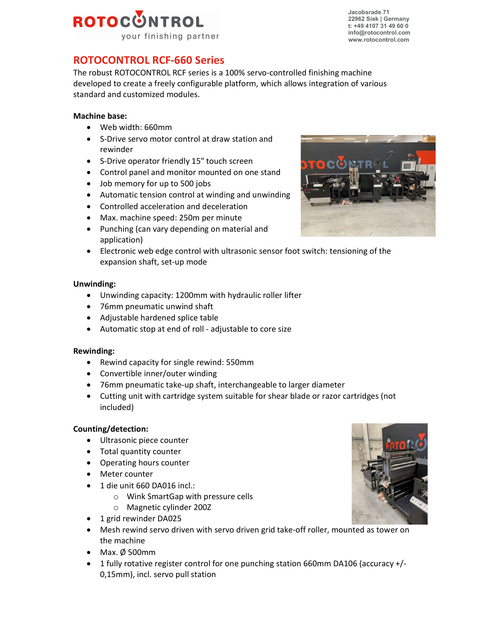# ROTOCONTROL your finishing partner

Jacobsrade 71 22962 Siek | Germany  $t: +49,4107,31,49,60,0$ info@rotocontrol.com www.rotocontrol.com

# ROTOCONTROL RCF-660 Series

The robust ROTOCONTROL RCF series is a 100% servo-controlled finishing machine developed to create a freely configurable platform, which allows integration of various standard and customized modules.

# Machine base:

- Web width: 660mm
- S-Drive servo motor control at draw station and rewinder
- S-Drive operator friendly 15" touch screen
- Control panel and monitor mounted on one stand
- Job memory for up to 500 jobs
- Automatic tension control at winding and unwinding
- Controlled acceleration and deceleration
- Max. machine speed: 250m per minute
- Punching (can vary depending on material and application)
- Electronic web edge control with ultrasonic sensor foot switch: tensioning of the expansion shaft, set-up mode

#### Unwinding:

- Unwinding capacity: 1200mm with hydraulic roller lifter
- 76mm pneumatic unwind shaft
- Adjustable hardened splice table
- Automatic stop at end of roll adjustable to core size

## Rewinding:

- Rewind capacity for single rewind: 550mm
- Convertible inner/outer winding
- 76mm pneumatic take-up shaft, interchangeable to larger diameter
- Cutting unit with cartridge system suitable for shear blade or razor cartridges (not included)

## Counting/detection:

- Ultrasonic piece counter
- Total quantity counter
- Operating hours counter
- Meter counter
- 1 die unit 660 DA016 incl.:
	- o Wink SmartGap with pressure cells
	- o Magnetic cylinder 200Z
- 1 grid rewinder DA025
- Mesh rewind servo driven with servo driven grid take-off roller, mounted as tower on the machine
- $\bullet$  Max. Ø 500mm
- 1 fully rotative register control for one punching station 660mm DA106 (accuracy +/- 0,15mm), incl. servo pull station